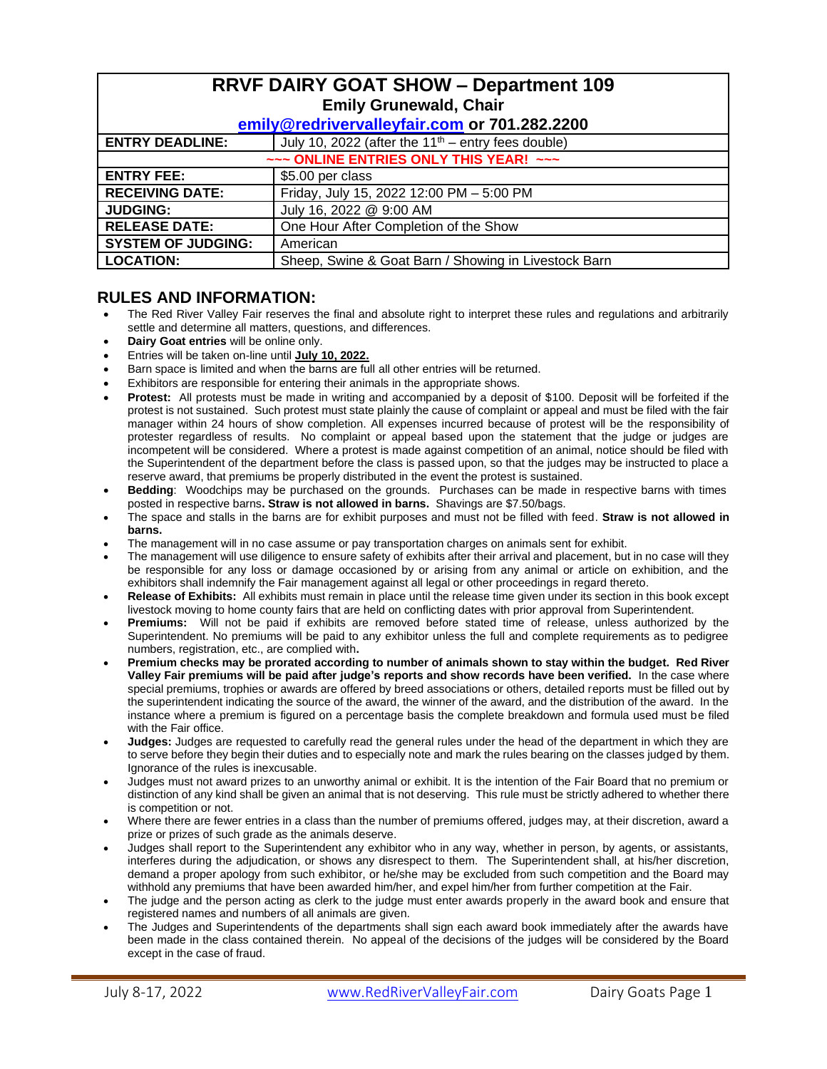| <b>RRVF DAIRY GOAT SHOW - Department 109</b> |                                                      |  |  |  |  |
|----------------------------------------------|------------------------------------------------------|--|--|--|--|
| <b>Emily Grunewald, Chair</b>                |                                                      |  |  |  |  |
| emily@redrivervalleyfair.com or 701.282.2200 |                                                      |  |  |  |  |
| <b>ENTRY DEADLINE:</b>                       | July 10, 2022 (after the $11th$ – entry fees double) |  |  |  |  |
| ~~~ ONLINE ENTRIES ONLY THIS YEAR! ~~~       |                                                      |  |  |  |  |
| <b>ENTRY FEE:</b>                            | \$5.00 per class                                     |  |  |  |  |
| <b>RECEIVING DATE:</b>                       | Friday, July 15, 2022 12:00 PM - 5:00 PM             |  |  |  |  |
| <b>JUDGING:</b>                              | July 16, 2022 @ 9:00 AM                              |  |  |  |  |
| <b>RELEASE DATE:</b>                         | One Hour After Completion of the Show                |  |  |  |  |
| <b>SYSTEM OF JUDGING:</b>                    | American                                             |  |  |  |  |
| <b>LOCATION:</b>                             | Sheep, Swine & Goat Barn / Showing in Livestock Barn |  |  |  |  |

### **RULES AND INFORMATION:**

- The Red River Valley Fair reserves the final and absolute right to interpret these rules and regulations and arbitrarily settle and determine all matters, questions, and differences.
- **Dairy Goat entries** will be online only.
- Entries will be taken on-line until **July 10, 2022.**
- Barn space is limited and when the barns are full all other entries will be returned.
- Exhibitors are responsible for entering their animals in the appropriate shows.
- **Protest:** All protests must be made in writing and accompanied by a deposit of \$100. Deposit will be forfeited if the protest is not sustained. Such protest must state plainly the cause of complaint or appeal and must be filed with the fair manager within 24 hours of show completion. All expenses incurred because of protest will be the responsibility of protester regardless of results. No complaint or appeal based upon the statement that the judge or judges are incompetent will be considered. Where a protest is made against competition of an animal, notice should be filed with the Superintendent of the department before the class is passed upon, so that the judges may be instructed to place a reserve award, that premiums be properly distributed in the event the protest is sustained.
- **Bedding**: Woodchips may be purchased on the grounds. Purchases can be made in respective barns with times posted in respective barns**. Straw is not allowed in barns.** Shavings are \$7.50/bags.
- The space and stalls in the barns are for exhibit purposes and must not be filled with feed. **Straw is not allowed in barns.**
- The management will in no case assume or pay transportation charges on animals sent for exhibit.
- The management will use diligence to ensure safety of exhibits after their arrival and placement, but in no case will they be responsible for any loss or damage occasioned by or arising from any animal or article on exhibition, and the exhibitors shall indemnify the Fair management against all legal or other proceedings in regard thereto.
- **Release of Exhibits:** All exhibits must remain in place until the release time given under its section in this book except livestock moving to home county fairs that are held on conflicting dates with prior approval from Superintendent.
- **Premiums:** Will not be paid if exhibits are removed before stated time of release, unless authorized by the Superintendent. No premiums will be paid to any exhibitor unless the full and complete requirements as to pedigree numbers, registration, etc., are complied with**.**
- **Premium checks may be prorated according to number of animals shown to stay within the budget. Red River Valley Fair premiums will be paid after judge's reports and show records have been verified.** In the case where special premiums, trophies or awards are offered by breed associations or others, detailed reports must be filled out by the superintendent indicating the source of the award, the winner of the award, and the distribution of the award. In the instance where a premium is figured on a percentage basis the complete breakdown and formula used must be filed with the Fair office.
- **Judges:** Judges are requested to carefully read the general rules under the head of the department in which they are to serve before they begin their duties and to especially note and mark the rules bearing on the classes judged by them. Ignorance of the rules is inexcusable.
- Judges must not award prizes to an unworthy animal or exhibit. It is the intention of the Fair Board that no premium or distinction of any kind shall be given an animal that is not deserving. This rule must be strictly adhered to whether there is competition or not.
- Where there are fewer entries in a class than the number of premiums offered, judges may, at their discretion, award a prize or prizes of such grade as the animals deserve.
- Judges shall report to the Superintendent any exhibitor who in any way, whether in person, by agents, or assistants, interferes during the adjudication, or shows any disrespect to them. The Superintendent shall, at his/her discretion, demand a proper apology from such exhibitor, or he/she may be excluded from such competition and the Board may withhold any premiums that have been awarded him/her, and expel him/her from further competition at the Fair.
- The judge and the person acting as clerk to the judge must enter awards properly in the award book and ensure that registered names and numbers of all animals are given.
- The Judges and Superintendents of the departments shall sign each award book immediately after the awards have been made in the class contained therein. No appeal of the decisions of the judges will be considered by the Board except in the case of fraud.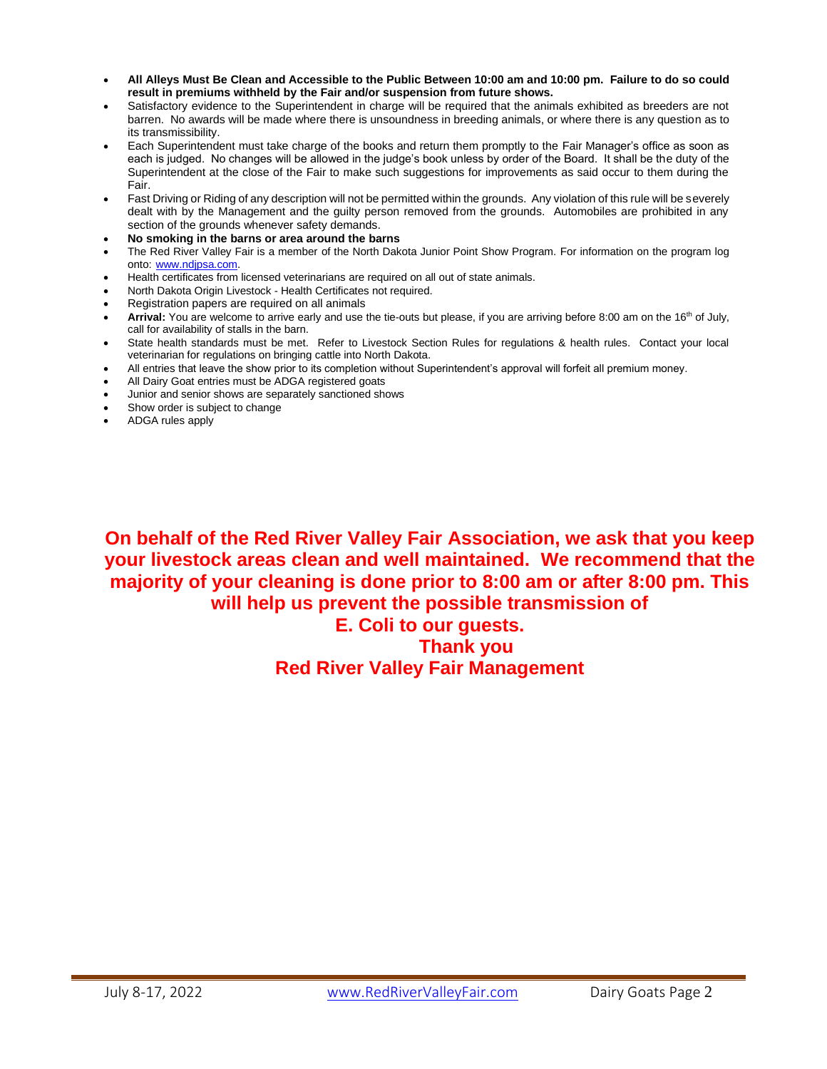- **All Alleys Must Be Clean and Accessible to the Public Between 10:00 am and 10:00 pm. Failure to do so could result in premiums withheld by the Fair and/or suspension from future shows.**
- Satisfactory evidence to the Superintendent in charge will be required that the animals exhibited as breeders are not barren. No awards will be made where there is unsoundness in breeding animals, or where there is any question as to its transmissibility.
- Each Superintendent must take charge of the books and return them promptly to the Fair Manager's office as soon as each is judged. No changes will be allowed in the judge's book unless by order of the Board. It shall be the duty of the Superintendent at the close of the Fair to make such suggestions for improvements as said occur to them during the Fair.
- Fast Driving or Riding of any description will not be permitted within the grounds. Any violation of this rule will be severely dealt with by the Management and the guilty person removed from the grounds. Automobiles are prohibited in any section of the grounds whenever safety demands.
- **No smoking in the barns or area around the barns**
- The Red River Valley Fair is a member of the North Dakota Junior Point Show Program. For information on the program log onto: [www.ndjpsa.com.](http://www.ndjpsa.com/)
- Health certificates from licensed veterinarians are required on all out of state animals.
- North Dakota Origin Livestock Health Certificates not required.
- Registration papers are required on all animals
- Arrival: You are welcome to arrive early and use the tie-outs but please, if you are arriving before 8:00 am on the 16<sup>th</sup> of July, call for availability of stalls in the barn.
- State health standards must be met. Refer to Livestock Section Rules for regulations & health rules. Contact your local veterinarian for regulations on bringing cattle into North Dakota.
- All entries that leave the show prior to its completion without Superintendent's approval will forfeit all premium money.
- All Dairy Goat entries must be ADGA registered goats
- Junior and senior shows are separately sanctioned shows
- Show order is subject to change
- ADGA rules apply

**On behalf of the Red River Valley Fair Association, we ask that you keep your livestock areas clean and well maintained. We recommend that the majority of your cleaning is done prior to 8:00 am or after 8:00 pm. This will help us prevent the possible transmission of** 

## **E. Coli to our guests. Thank you Red River Valley Fair Management**